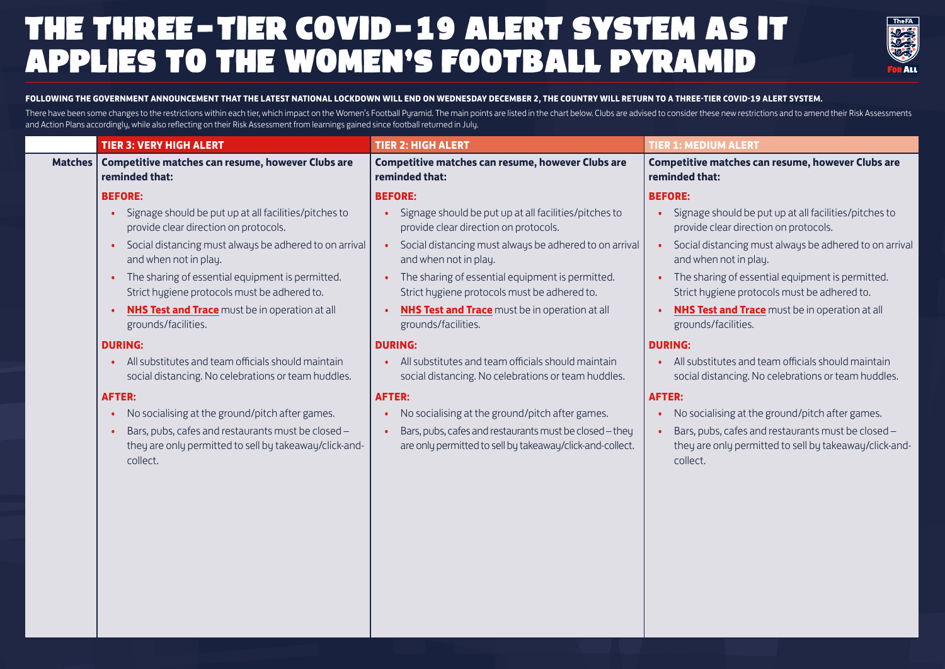## THE THREE-TIER COVID-19 ALERT SYSTEM AS IT APPLIES TO THE WOMEN'S FOOTBALL PYRAMID



## **FOLLOWING THE GOVERNMENT ANNOUNCEMENT THAT THE LATEST NATIONAL LOCKDOWN WILL END ON WEDNESDAY DECEMBER 2, THE COUNTRY WILL RETURN TO A THREE-TIER COVID-19 ALERT SYSTEM.**

There have been some changes to the restrictions within each tier, which impact on the Women's Football Puramid. The main points are listed in the chart below. Clubs are advised to consider these new restrictions and to am and Action Plans accordingly, while also reflecting on their Risk Assessment from learnings gained since football returned in July.

|                | <b>TIER 3: VERY HIGH ALERT</b>                                                                                                        | <b>TIER 2: HIGH ALERT</b>                                                                                            | <b>TIER 1: MEDIUM ALERT</b>                                                                                              |
|----------------|---------------------------------------------------------------------------------------------------------------------------------------|----------------------------------------------------------------------------------------------------------------------|--------------------------------------------------------------------------------------------------------------------------|
| <b>Matches</b> | Competitive matches can resume, however Clubs are<br>reminded that:                                                                   | <b>Competitive matches can resume, however Clubs are</b><br>reminded that:                                           | Competitive matches can resume, however Clubs are<br>reminded that:                                                      |
|                | <b>BEFORE:</b>                                                                                                                        | <b>BEFORE:</b>                                                                                                       | <b>BEFORE:</b>                                                                                                           |
|                | Signage should be put up at all facilities/pitches to<br>$\bullet$<br>provide clear direction on protocols.                           | Signage should be put up at all facilities/pitches to<br>provide clear direction on protocols.                       | Signage should be put up at all facilities/pitches to<br>provide clear direction on protocols.                           |
|                | Social distancing must always be adhered to on arrival<br>$\bullet$<br>and when not in play.                                          | Social distancing must always be adhered to on arrival<br>$\bullet$<br>and when not in play.                         | Social distancing must always be adhered to on arrival<br>and when not in play.                                          |
|                | The sharing of essential equipment is permitted.<br>$\bullet$<br>Strict hygiene protocols must be adhered to.                         | The sharing of essential equipment is permitted.<br>Strict hygiene protocols must be adhered to.                     | The sharing of essential equipment is permitted.<br>Strict hygiene protocols must be adhered to.                         |
|                | <b>NHS Test and Trace</b> must be in operation at all<br>$\bullet$<br>grounds/facilities.                                             | <b>NHS Test and Trace</b> must be in operation at all<br>grounds/facilities.                                         | <b>NHS Test and Trace</b> must be in operation at all<br>grounds/facilities.                                             |
|                | <b>DURING:</b>                                                                                                                        | <b>DURING:</b>                                                                                                       | <b>DURING:</b>                                                                                                           |
|                | All substitutes and team officials should maintain<br>$\bullet$<br>social distancing. No celebrations or team huddles.                | All substitutes and team officials should maintain<br>social distancing. No celebrations or team huddles.            | All substitutes and team officials should maintain<br>social distancing. No celebrations or team huddles.                |
|                | <b>AFTER:</b>                                                                                                                         | <b>AFTER:</b>                                                                                                        | <b>AFTER:</b>                                                                                                            |
|                | No socialising at the ground/pitch after games.<br>$\bullet$                                                                          | No socialising at the ground/pitch after games.                                                                      | No socialising at the ground/pitch after games.                                                                          |
|                | Bars, pubs, cafes and restaurants must be closed -<br>$\bullet$<br>they are only permitted to sell by takeaway/click-and-<br>collect. | Bars, pubs, cafes and restaurants must be closed - they<br>are only permitted to sell by takeaway/click-and-collect. | Bars, pubs, cafes and restaurants must be closed -<br>they are only permitted to sell by takeaway/click-and-<br>collect. |
|                |                                                                                                                                       |                                                                                                                      |                                                                                                                          |
|                |                                                                                                                                       |                                                                                                                      |                                                                                                                          |
|                |                                                                                                                                       |                                                                                                                      |                                                                                                                          |
|                |                                                                                                                                       |                                                                                                                      |                                                                                                                          |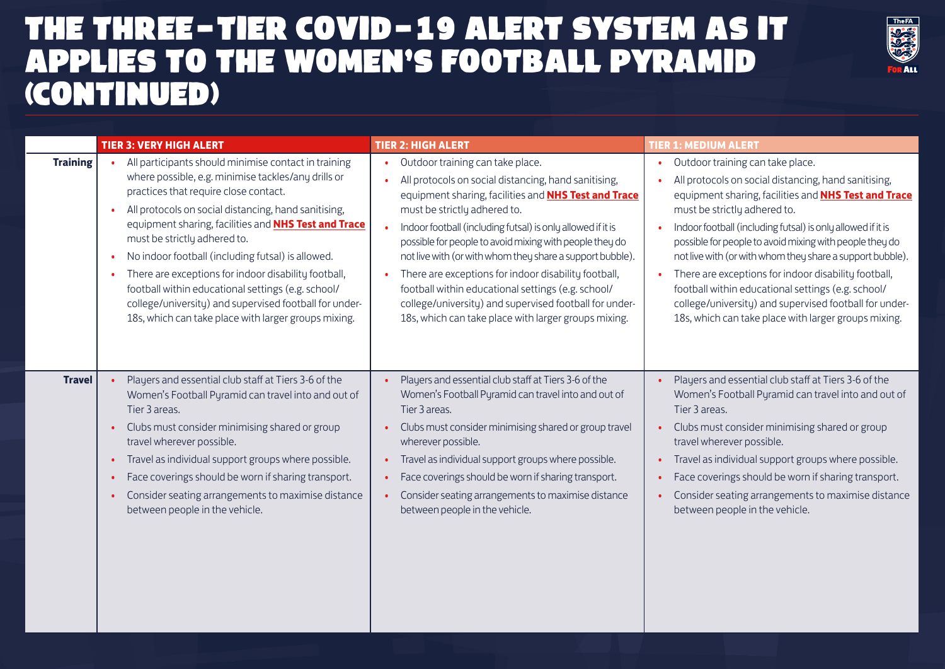## THE THREE-TIER COVID-19 ALERT SYSTEM AS IT APPLIES TO THE WOMEN'S FOOTBALL PYRAMID (CONTINUED)



|                 | <b>TIER 3: VERY HIGH ALERT</b>                              | <b>TIER 2: HIGH ALERT</b>                                   | <b>TIER 1: MEDIUM ALERT</b>                                 |
|-----------------|-------------------------------------------------------------|-------------------------------------------------------------|-------------------------------------------------------------|
| <b>Training</b> | All participants should minimise contact in training        | Outdoor training can take place.                            | Outdoor training can take place.                            |
|                 | where possible, e.g. minimise tackles/any drills or         | All protocols on social distancing, hand sanitising,        | All protocols on social distancing, hand sanitising,        |
|                 | practices that require close contact.                       | equipment sharing, facilities and NHS Test and Trace        | equipment sharing, facilities and NHS Test and Trace        |
|                 | All protocols on social distancing, hand sanitising,        | must be strictly adhered to.                                | must be strictly adhered to.                                |
|                 | equipment sharing, facilities and <b>NHS Test and Trace</b> | Indoor football (including futsal) is only allowed if it is | Indoor football (including futsal) is only allowed if it is |
|                 | must be strictly adhered to.                                | possible for people to avoid mixing with people they do     | possible for people to avoid mixing with people they do     |
|                 | No indoor football (including futsal) is allowed.           | not live with (or with whom they share a support bubble).   | not live with (or with whom they share a support bubble).   |
|                 | There are exceptions for indoor disability football,        | There are exceptions for indoor disability football,        | There are exceptions for indoor disability football,        |
|                 | football within educational settings (e.g. school/          | football within educational settings (e.g. school/          | football within educational settings (e.g. school/          |
|                 | college/university) and supervised football for under-      | college/university) and supervised football for under-      | college/university) and supervised football for under-      |
|                 | 18s, which can take place with larger groups mixing.        | 18s, which can take place with larger groups mixing.        | 18s, which can take place with larger groups mixing.        |
| <b>Travel</b>   | Players and essential club staff at Tiers 3-6 of the        | Players and essential club staff at Tiers 3-6 of the        | Players and essential club staff at Tiers 3-6 of the        |
|                 | Women's Football Pyramid can travel into and out of         | Women's Football Pyramid can travel into and out of         | Women's Football Pyramid can travel into and out of         |
|                 | Tier 3 areas.                                               | Tier 3 areas.                                               | Tier 3 areas.                                               |
|                 | Clubs must consider minimising shared or group              | Clubs must consider minimising shared or group travel       | Clubs must consider minimising shared or group              |
|                 | travel wherever possible.                                   | wherever possible.                                          | travel wherever possible.                                   |
|                 | Travel as individual support groups where possible.         | Travel as individual support groups where possible.         | Travel as individual support groups where possible.         |
|                 | Face coverings should be worn if sharing transport.         | Face coverings should be worn if sharing transport.         | Face coverings should be worn if sharing transport.         |
|                 | Consider seating arrangements to maximise distance          | Consider seating arrangements to maximise distance          | Consider seating arrangements to maximise distance          |
|                 | between people in the vehicle.                              | between people in the vehicle.                              | between people in the vehicle.                              |